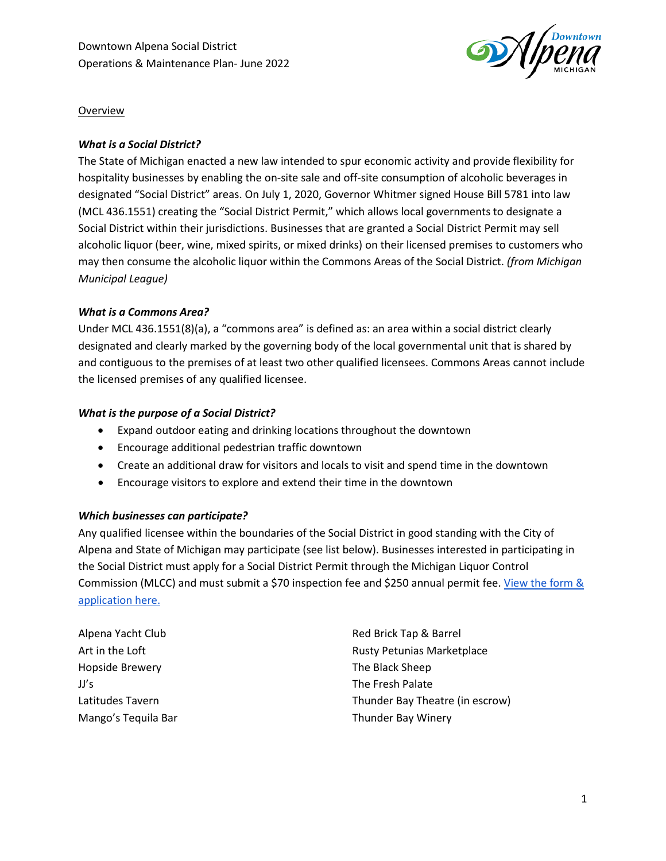

Overview

# *What is a Social District?*

The State of Michigan enacted a new law intended to spur economic activity and provide flexibility for hospitality businesses by enabling the on-site sale and off-site consumption of alcoholic beverages in designated "Social District" areas. On July 1, 2020, Governor Whitmer signed House Bill 5781 into law (MCL 436.1551) creating the "Social District Permit," which allows local governments to designate a Social District within their jurisdictions. Businesses that are granted a Social District Permit may sell alcoholic liquor (beer, wine, mixed spirits, or mixed drinks) on their licensed premises to customers who may then consume the alcoholic liquor within the Commons Areas of the Social District. *(from Michigan Municipal League)*

### *What is a Commons Area?*

Under MCL 436.1551(8)(a), a "commons area" is defined as: an area within a social district clearly designated and clearly marked by the governing body of the local governmental unit that is shared by and contiguous to the premises of at least two other qualified licensees. Commons Areas cannot include the licensed premises of any qualified licensee.

### *What is the purpose of a Social District?*

- Expand outdoor eating and drinking locations throughout the downtown
- Encourage additional pedestrian traffic downtown
- Create an additional draw for visitors and locals to visit and spend time in the downtown
- Encourage visitors to explore and extend their time in the downtown

### *Which businesses can participate?*

Any qualified licensee within the boundaries of the Social District in good standing with the City of Alpena and State of Michigan may participate (see list below). Businesses interested in participating in the Social District must apply for a Social District Permit through the Michigan Liquor Control Commission (MLCC) and must submit a \$70 inspection fee and \$250 annual permit fee. [View the form &](https://www.michigan.gov/documents/lara/LCC208_695497_7.pdf)  [application here.](https://www.michigan.gov/documents/lara/LCC208_695497_7.pdf)

Alpena Yacht Club Art in the Loft Hopside Brewery JJ's Latitudes Tavern Mango's Tequila Bar

Red Brick Tap & Barrel Rusty Petunias Marketplace The Black Sheep The Fresh Palate Thunder Bay Theatre (in escrow) Thunder Bay Winery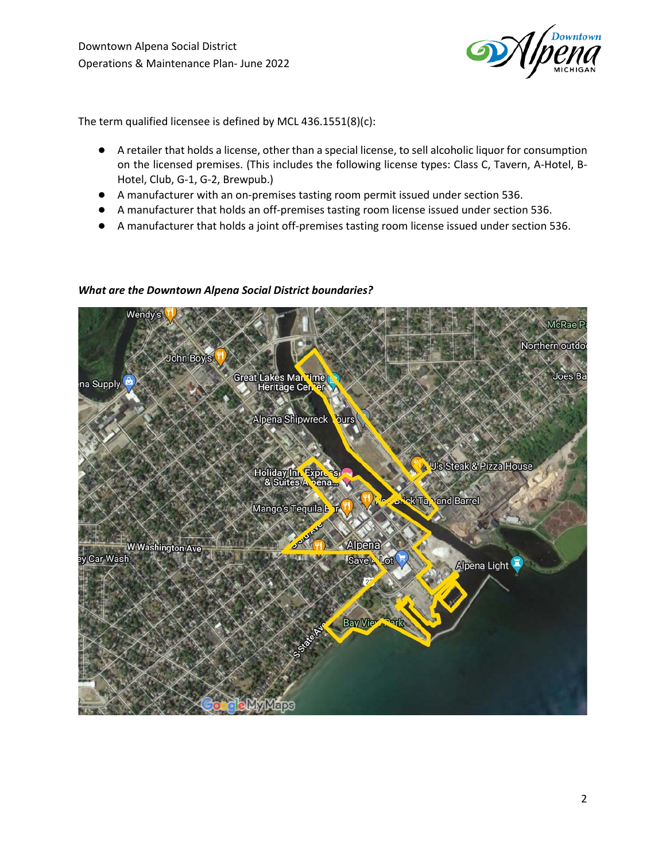

The term qualified licensee is defined by MCL 436.1551(8)(c):

- A retailer that holds a license, other than a special license, to sell alcoholic liquor for consumption on the licensed premises. (This includes the following license types: Class C, Tavern, A-Hotel, B-Hotel, Club, G-1, G-2, Brewpub.)
- A manufacturer with an on-premises tasting room permit issued under section 536.
- A manufacturer that holds an off-premises tasting room license issued under section 536.
- A manufacturer that holds a joint off-premises tasting room license issued under section 536.

### *What are the Downtown Alpena Social District boundaries?*

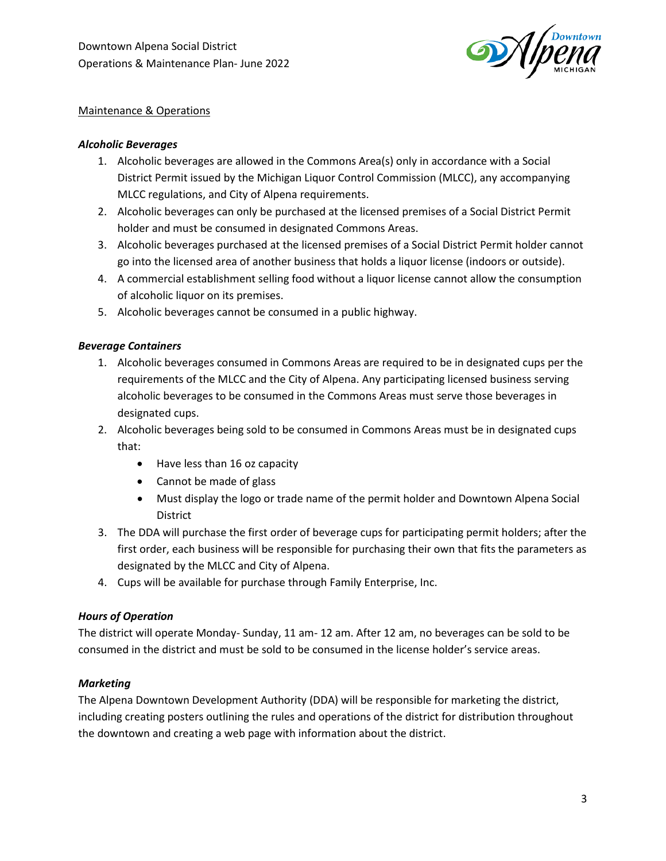

## Maintenance & Operations

## *Alcoholic Beverages*

- 1. Alcoholic beverages are allowed in the Commons Area(s) only in accordance with a Social District Permit issued by the Michigan Liquor Control Commission (MLCC), any accompanying MLCC regulations, and City of Alpena requirements.
- 2. Alcoholic beverages can only be purchased at the licensed premises of a Social District Permit holder and must be consumed in designated Commons Areas.
- 3. Alcoholic beverages purchased at the licensed premises of a Social District Permit holder cannot go into the licensed area of another business that holds a liquor license (indoors or outside).
- 4. A commercial establishment selling food without a liquor license cannot allow the consumption of alcoholic liquor on its premises.
- 5. Alcoholic beverages cannot be consumed in a public highway.

## *Beverage Containers*

- 1. Alcoholic beverages consumed in Commons Areas are required to be in designated cups per the requirements of the MLCC and the City of Alpena. Any participating licensed business serving alcoholic beverages to be consumed in the Commons Areas must serve those beverages in designated cups.
- 2. Alcoholic beverages being sold to be consumed in Commons Areas must be in designated cups that:
	- Have less than 16 oz capacity
	- Cannot be made of glass
	- Must display the logo or trade name of the permit holder and Downtown Alpena Social District
- 3. The DDA will purchase the first order of beverage cups for participating permit holders; after the first order, each business will be responsible for purchasing their own that fits the parameters as designated by the MLCC and City of Alpena.
- 4. Cups will be available for purchase through Family Enterprise, Inc.

### *Hours of Operation*

The district will operate Monday- Sunday, 11 am- 12 am. After 12 am, no beverages can be sold to be consumed in the district and must be sold to be consumed in the license holder's service areas.

### *Marketing*

The Alpena Downtown Development Authority (DDA) will be responsible for marketing the district, including creating posters outlining the rules and operations of the district for distribution throughout the downtown and creating a web page with information about the district.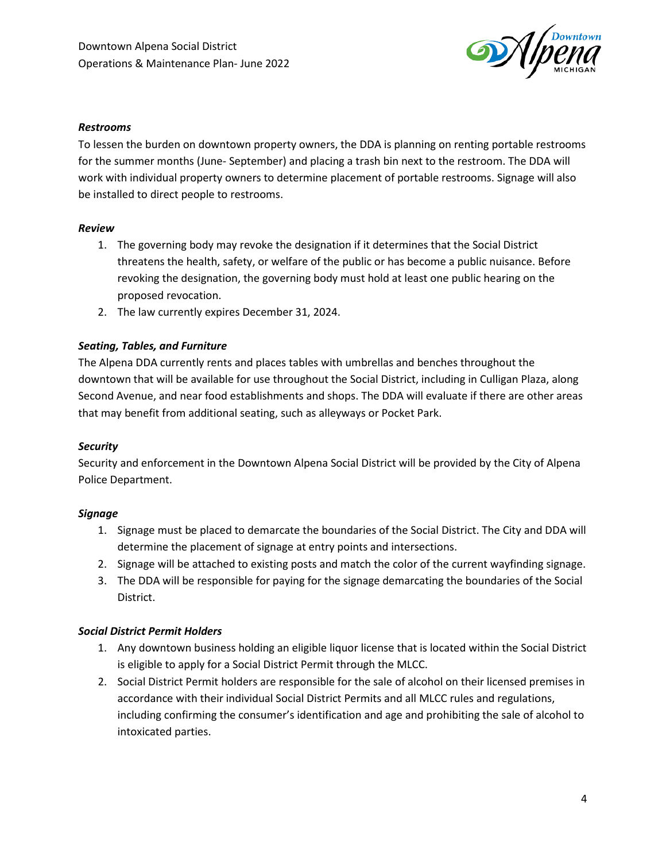

#### *Restrooms*

To lessen the burden on downtown property owners, the DDA is planning on renting portable restrooms for the summer months (June- September) and placing a trash bin next to the restroom. The DDA will work with individual property owners to determine placement of portable restrooms. Signage will also be installed to direct people to restrooms.

#### *Review*

- 1. The governing body may revoke the designation if it determines that the Social District threatens the health, safety, or welfare of the public or has become a public nuisance. Before revoking the designation, the governing body must hold at least one public hearing on the proposed revocation.
- 2. The law currently expires December 31, 2024.

### *Seating, Tables, and Furniture*

The Alpena DDA currently rents and places tables with umbrellas and benches throughout the downtown that will be available for use throughout the Social District, including in Culligan Plaza, along Second Avenue, and near food establishments and shops. The DDA will evaluate if there are other areas that may benefit from additional seating, such as alleyways or Pocket Park.

### *Security*

Security and enforcement in the Downtown Alpena Social District will be provided by the City of Alpena Police Department.

### *Signage*

- 1. Signage must be placed to demarcate the boundaries of the Social District. The City and DDA will determine the placement of signage at entry points and intersections.
- 2. Signage will be attached to existing posts and match the color of the current wayfinding signage.
- 3. The DDA will be responsible for paying for the signage demarcating the boundaries of the Social District.

### *Social District Permit Holders*

- 1. Any downtown business holding an eligible liquor license that is located within the Social District is eligible to apply for a Social District Permit through the MLCC.
- 2. Social District Permit holders are responsible for the sale of alcohol on their licensed premises in accordance with their individual Social District Permits and all MLCC rules and regulations, including confirming the consumer's identification and age and prohibiting the sale of alcohol to intoxicated parties.